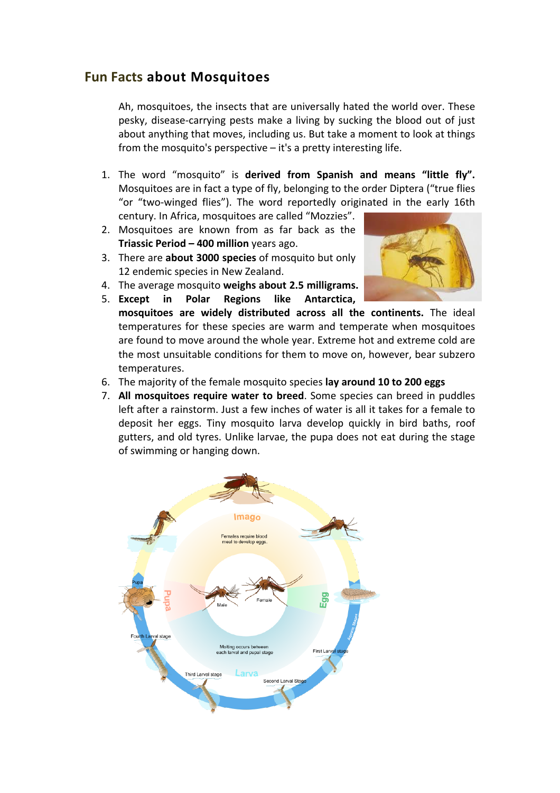## **Fun Facts about Mosquitoes**

Ah, mosquitoes, the insects that are universally hated the world over. These pesky, disease-carrying pests make a living by sucking the blood out of just about anything that moves, including us. But take a moment to look at things from the mosquito's perspective  $-$  it's a pretty interesting life.

- 1. The word "mosquito" is derived from Spanish and means "little fly". Mosquitoes are in fact a type of fly, belonging to the order Diptera ("true flies "or "two-winged flies"). The word reportedly originated in the early 16th century. In Africa, mosquitoes are called "Mozzies".
- 2. Mosquitoes are known from as far back as the **Triassic Period – 400 million** years ago.
- 3. There are **about 3000 species** of mosquito but only 12 endemic species in New Zealand.
- 4. The average mosquito weighs about 2.5 milligrams.



- 5. **Except in Polar Regions like Antarctica, mosquitoes** are widely distributed across all the continents. The ideal temperatures for these species are warm and temperate when mosquitoes are found to move around the whole year. Extreme hot and extreme cold are the most unsuitable conditions for them to move on, however, bear subzero temperatures.
- 6. The majority of the female mosquito species lay around 10 to 200 eggs
- 7. All mosquitoes require water to breed. Some species can breed in puddles left after a rainstorm. Just a few inches of water is all it takes for a female to deposit her eggs. Tiny mosquito larva develop quickly in bird baths, roof gutters, and old tyres. Unlike larvae, the pupa does not eat during the stage of swimming or hanging down.

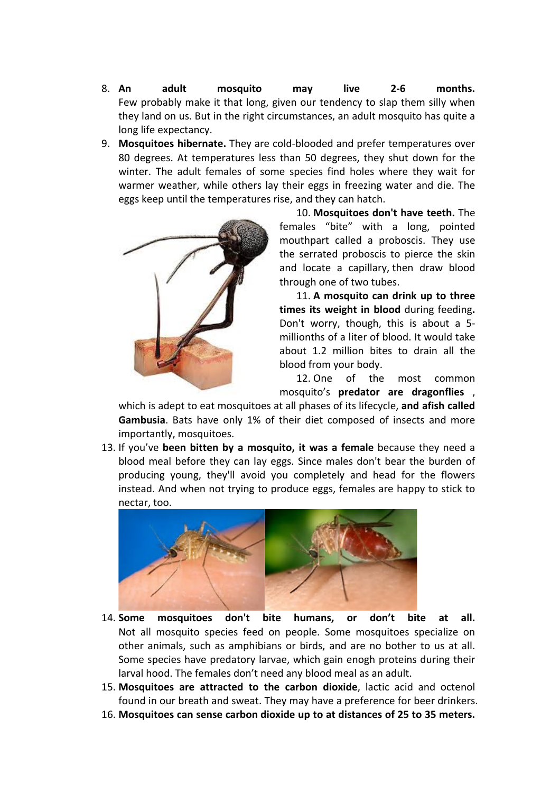- 8. **An adult mosquito may live 2-6 months.** Few probably make it that long, given our tendency to slap them silly when they land on us. But in the right circumstances, an adult mosquito has quite a long life expectancy.
- 9. **Mosquitoes hibernate.** They are cold-blooded and prefer temperatures over 80 degrees. At temperatures less than 50 degrees, they shut down for the winter. The adult females of some species find holes where they wait for warmer weather, while others lay their eggs in freezing water and die. The eggs keep until the temperatures rise, and they can hatch.



10. **Mosquitoes don't have teeth.** The females "bite" with a long, pointed mouthpart called a proboscis. They use the serrated proboscis to pierce the skin and locate a capillary, then draw blood through one of two tubes.

11. A mosquito can drink up to three **times its weight in blood** during feeding. Don't worry, though, this is about a 5millionths of a liter of blood. It would take about 1.2 million bites to drain all the blood from your body.

12. One of the most common mosquito's **predator are dragonflies**  , 

which is adept to eat mosquitoes at all phases of its lifecycle, and afish called **Gambusia**. Bats have only 1% of their diet composed of insects and more importantly, mosquitoes.

13. If you've **been bitten by a mosquito, it was a female** because they need a blood meal before they can lay eggs. Since males don't bear the burden of producing young, they'll avoid you completely and head for the flowers instead. And when not trying to produce eggs, females are happy to stick to nectar, too.



- 14. **Some mosquitoes don't bite humans, or don't bite at all.** Not all mosquito species feed on people. Some mosquitoes specialize on other animals, such as amphibians or birds, and are no bother to us at all. Some species have predatory larvae, which gain enogh proteins during their larval hood. The females don't need any blood meal as an adult.
- 15. Mosquitoes are attracted to the carbon dioxide, lactic acid and octenol found in our breath and sweat. They may have a preference for beer drinkers.
- 16. Mosquitoes can sense carbon dioxide up to at distances of 25 to 35 meters.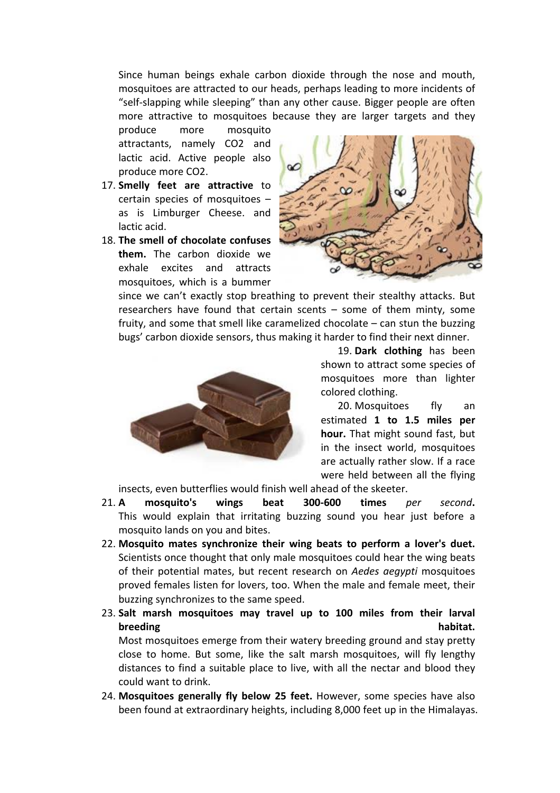Since human beings exhale carbon dioxide through the nose and mouth, mosquitoes are attracted to our heads, perhaps leading to more incidents of "self-slapping while sleeping" than any other cause. Bigger people are often more attractive to mosquitoes because they are larger targets and they

produce more mosquito attractants, namely CO2 and lactic acid. Active people also produce more CO2.

- 17. **Smelly feet are attractive** to certain species of mosquitoes  $$ as is Limburger Cheese. and lactic acid.
- 18. **The smell of chocolate confuses them.** The carbon dioxide we exhale excites and attracts mosquitoes, which is a bummer



since we can't exactly stop breathing to prevent their stealthy attacks. But researchers have found that certain scents  $-$  some of them minty, some fruity, and some that smell like caramelized chocolate  $-$  can stun the buzzing bugs' carbon dioxide sensors, thus making it harder to find their next dinner.



19. Dark clothing has been shown to attract some species of mosquitoes more than lighter colored clothing.

20. Mosquitoes fly an estimated 1 to 1.5 miles per **hour.** That might sound fast, but in the insect world, mosquitoes are actually rather slow. If a race were held between all the flying

insects, even butterflies would finish well ahead of the skeeter.

- 21. **A mosquito's wings beat 300-600 times**  *per second***.** This would explain that irritating buzzing sound you hear just before a mosquito lands on you and bites.
- 22. Mosquito mates synchronize their wing beats to perform a lover's duet. Scientists once thought that only male mosquitoes could hear the wing beats of their potential mates, but recent research on *Aedes aegypti* mosquitoes proved females listen for lovers, too. When the male and female meet, their buzzing synchronizes to the same speed.
- 23. Salt marsh mosquitoes may travel up to 100 miles from their larval **breeding habitat.**

Most mosquitoes emerge from their watery breeding ground and stay pretty close to home. But some, like the salt marsh mosquitoes, will fly lengthy distances to find a suitable place to live, with all the nectar and blood they could want to drink.

24. Mosquitoes generally fly below 25 feet. However, some species have also been found at extraordinary heights, including 8,000 feet up in the Himalayas.